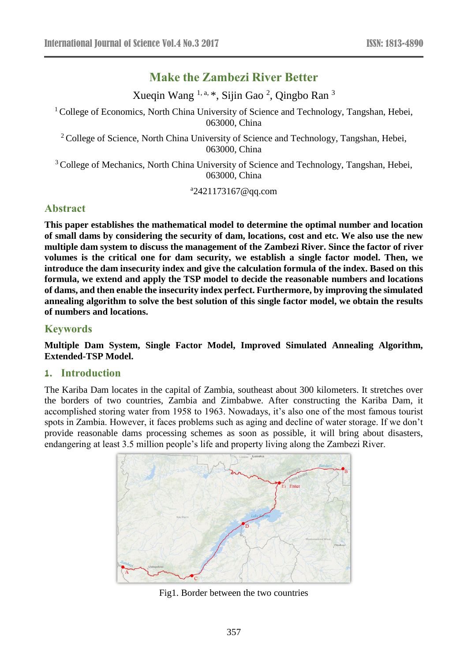# **Make the Zambezi River Better**

Xueqin Wang <sup>1, a, \*</sup>, Sijin Gao<sup>2</sup>, Qingbo Ran<sup>3</sup>

<sup>1</sup> College of Economics, North China University of Science and Technology, Tangshan, Hebei, 063000, China

<sup>2</sup> College of Science, North China University of Science and Technology, Tangshan, Hebei, 063000, China

<sup>3</sup> College of Mechanics, North China University of Science and Technology, Tangshan, Hebei, 063000, China

a 2421173167@qq.com

# **Abstract**

**This paper establishes the mathematical model to determine the optimal number and location of small dams by considering the security of dam, locations, cost and etc. We also use the new multiple dam system to discuss the management of the Zambezi River. Since the factor of river volumes is the critical one for dam security, we establish a single factor model. Then, we introduce the dam insecurity index and give the calculation formula of the index. Based on this formula, we extend and apply the TSP model to decide the reasonable numbers and locations of dams, and then enable the insecurity index perfect. Furthermore, by improving the simulated annealing algorithm to solve the best solution of this single factor model, we obtain the results of numbers and locations.**

# **Keywords**

**Multiple Dam System, Single Factor Model, Improved Simulated Annealing Algorithm, Extended-TSP Model.**

# **1. Introduction**

The Kariba Dam locates in the capital of Zambia, southeast about 300 kilometers. It stretches over the borders of two countries, Zambia and Zimbabwe. After constructing the Kariba Dam, it accomplished storing water from 1958 to 1963. Nowadays, it's also one of the most famous tourist spots in Zambia. However, it faces problems such as aging and decline of water storage. If we don't provide reasonable dams processing schemes as soon as possible, it will bring about disasters, endangering at least 3.5 million people's life and property living along the Zambezi River.



Fig1. Border between the two countries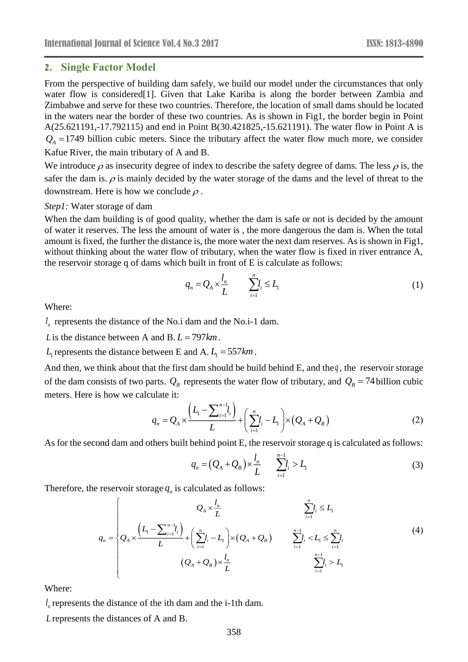### **2. Single Factor Model**

From the perspective of building dam safely, we build our model under the circumstances that only water flow is considered<sup>[1]</sup>. Given that Lake Kariba is along the border between Zambia and Zimbabwe and serve for these two countries. Therefore, the location of small dams should be located in the waters near the border of these two countries. As is shown in Fig1, the border begin in Point A(25.621191,-17.792115) and end in Point B(30.421825,-15.621191). The water flow in Point A is  $Q_A$  = 1749 billion cubic meters. Since the tributary affect the water flow much more, we consider Kafue River, the main tributary of A and B.

We introduce  $\rho$  as insecurity degree of index to describe the safety degree of dams. The less  $\rho$  is, the safer the dam is.  $\rho$  is mainly decided by the water storage of the dams and the level of threat to the downstream. Here is how we conclude  $\rho$ .

#### *Step1:* Water storage of dam

When the dam building is of good quality, whether the dam is safe or not is decided by the amount of water it reserves. The less the amount of water is , the more dangerous the dam is. When the total amount is fixed, the further the distance is, the more water the next dam reserves. As is shown in Fig1, without thinking about the water flow of tributary, when the water flow is fixed in river entrance A, the reservoir storage q of dams which built in front of E is calculate as follows:

$$
q_n = Q_A \times \frac{l_n}{L} \qquad \sum_{i=1}^n l_i \le L_1 \tag{1}
$$

Where:

*n l* represents the distance of the No.i dam and the No.i-1 dam.

*L* is the distance between A and B.  $L = 797 km$ .

 $L_1$  represents the distance between E and A.  $L_1 = 557$  km.

And then, we think about that the first dam should be build behind  $E$ , and the $q$ , the reservoir storage of the dam consists of two parts.  $Q_B$  represents the water flow of tributary, and  $Q_B = 74$  billion cubic meters. Here is how we calculate it:

$$
q_n = Q_A \times \frac{\left(L_1 - \sum_{i=1}^{n-1} l_i\right)}{L} + \left(\sum_{i=1}^{n} l_i - L_1\right) \times \left(Q_A + Q_B\right) \tag{2}
$$

As for the second dam and others built behind point E, the reservoir storage q is calculated as follows:

$$
q_n = (Q_A + Q_B) \times \frac{l_n}{L} \qquad \sum_{i=1}^{n-1} l_i > L_1 \tag{3}
$$

Therefore, the reservoir storage  $q<sub>n</sub>$  is calculated as follows:

$$
q_{n} = \begin{cases} Q_{A} \times \frac{l_{n}}{L} & \sum_{i=1}^{n} l_{i} \leq L_{1} \\ Q_{A} \times \frac{\left(L_{1} - \sum_{i=1}^{n-1} l_{i}\right)}{L} + \left(\sum_{i=1}^{n} l_{i} - L_{1}\right) \times \left(Q_{A} + Q_{B}\right) & \sum_{i=1}^{n-1} l_{i} < L_{1} \leq \sum_{i=1}^{n} l_{i} \\ (Q_{A} + Q_{B}) \times \frac{l_{n}}{L} & \sum_{i=1}^{n-1} l_{i} > L_{1} \end{cases} \tag{4}
$$

Where:

*n l* represents the distance of the ith dam and the i-1th dam.

*L* represents the distances of A and B.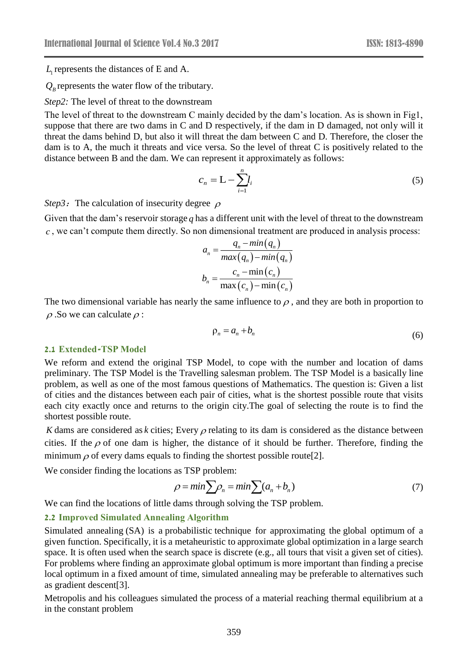$L<sub>r</sub>$  represents the distances of E and A.

 $Q_B$  represents the water flow of the tributary.

*Step2:* The level of threat to the downstream

The level of threat to the downstream C mainly decided by the dam's location. As is shown in Fig1, suppose that there are two dams in C and D respectively, if the dam in D damaged, not only will it threat the dams behind D, but also it will threat the dam between C and D. Therefore, the closer the dam is to A, the much it threats and vice versa. So the level of threat C is positively related to the distance between B and the dam. We can represent it approximately as follows:

$$
c_n = \mathcal{L} - \sum_{i=1}^n l_i \tag{5}
$$

*Step3*: The calculation of insecurity degree  $\rho$ 

Given that the dam's reservoir storage *q* has a different unit with the level of threat to the downstream *c* , we can't compute them directly. So non dimensional treatment are produced in analysis process:

$$
a_n = \frac{q_n - \min(q_n)}{\max(q_n) - \min(q_n)}
$$

$$
b_n = \frac{c_n - \min(c_n)}{\max(c_n) - \min(c_n)}
$$

The two dimensional variable has nearly the same influence to  $\rho$ , and they are both in proportion to  $\rho$ . So we can calculate  $\rho$  :

$$
\rho_n = a_n + b_n \tag{6}
$$

## **2.1 Extended-TSP Model**

We reform and extend the original TSP Model, to cope with the number and location of dams preliminary. The TSP Model is the Travelling salesman problem. The TSP Model is a basically line problem, as well as one of the most famous questions of Mathematics. The question is: Given a list of cities and the distances between each pair of cities, what is the shortest possible route that visits each city exactly once and returns to the origin city.The goal of selecting the route is to find the shortest possible route.

K dams are considered as  $k$  cities; Every  $\rho$  relating to its dam is considered as the distance between cities. If the  $\rho$  of one dam is higher, the distance of it should be further. Therefore, finding the minimum  $\rho$  of every dams equals to finding the shortest possible route[2].

We consider finding the locations as TSP problem:

$$
\rho = \min \sum \rho_n = \min \sum (a_n + b_n) \tag{7}
$$

We can find the locations of little dams through solving the TSP problem.

#### **2.2 Improved Simulated Annealing Algorithm**

*L*<sub>1</sub> represents the distances of E and A.<br> *C<sub>8</sub>* represents the water flow of the tributary.<br> *C<sub>8</sub>* represents the water flow of the downstream<br>
The level of threat to the downstream C mainly decision<br>
ETRE level of t Simulated annealing (SA) is a [probabilistic](https://en.wikipedia.org/wiki/Probabilistic_algorithm) technique for approximating the [global optimum](https://en.wikipedia.org/wiki/Global_optimum) of a given [function.](https://en.wikipedia.org/wiki/Function_(mathematics)) Specifically, it is a [metaheuristic](https://en.wikipedia.org/wiki/Metaheuristic) to approximate [global optimization](https://en.wikipedia.org/wiki/Global_optimization) in a large [search](https://en.wikipedia.org/wiki/Mathematical_optimization#Optimization_problems)  [space.](https://en.wikipedia.org/wiki/Mathematical_optimization#Optimization_problems) It is often used when the search space is discrete (e.g., all tours that visit a given set of cities). For problems where finding an approximate global optimum is more important than finding a precise local optimum in a fixed amount of time, simulated annealing may be preferable to alternatives such as [gradient descent\[](https://en.wikipedia.org/wiki/Gradient_descent)3].

Metropolis and his colleagues simulated the process of a material reaching thermal equilibrium at a in the constant problem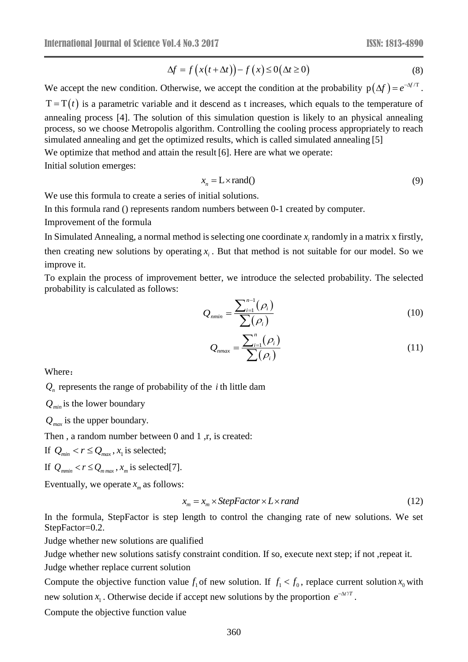$$
\Delta f = f(x(t + \Delta t)) - f(x) \le 0(\Delta t \ge 0)
$$
\n(8)

 $\Delta f = f(x(t + \Delta t)) - f(x) \leq 0(\Delta t \geq 0)$ <br>
(8)<br>
therwise, we accept the condition at the probability  $p(\Delta f) = e^{-\Delta t/T}$ <br>
e and it descend as tincreases, which equals to the temperature of<br>
tion of this simulation question is likely t We accept the new condition. Otherwise, we accept the condition at the probability  $p(\Delta f) = e^{-\Delta f/T}$ .  $T = T(t)$  is a parametric variable and it descend as t increases, which equals to the temperature of annealing process [4]. The solution of this simulation question is likely to an physical annealing process, so we choose Metropolis algorithm. Controlling the cooling process appropriately to reach simulated annealing and get the optimized results, which is called simulated annealing [5] We optimize that method and attain the result [6]. Here are what we operate:

Initial solution emerges:

$$
x_n = L \times \text{rand}(1) \tag{9}
$$

We use this formula to create a series of initial solutions.

In this formula rand () represents random numbers between 0-1 created by computer.

Improvement of the formula

In Simulated Annealing, a normal method is selecting one coordinate  $x_i$  randomly in a matrix x firstly,

then creating new solutions by operating  $x_i$ . But that method is not suitable for our model. So we improve it.

To explain the process of improvement better, we introduce the selected probability. The selected probability is calculated as follows:

$$
Q_{nmin} = \frac{\sum_{i=1}^{n-1} (\rho_i)}{\sum (\rho_i)}
$$
 (10)

$$
Q_{\max} = \frac{\sum_{i=1}^{n} (\rho_i)}{\sum (\rho_i)}
$$
(11)

Where:

 $Q_n$  represents the range of probability of the *i* th little dam

*Qmin* is the lower boundary

*Qmax* is the upper boundary.

Then, a random number between 0 and 1, r, is created:

If  $Q_{min} < r \leq Q_{max}$ ,  $x_1$  is selected;

If  $Q_{mmin} < r \leq Q_{m,max}$ ,  $x_m$  is selected[7].

Eventually, we operate  $x_m$  as follows:

$$
x_m = x_m \times \text{StepFactor} \times L \times \text{rand} \tag{12}
$$

In the formula, StepFactor is step length to control the changing rate of new solutions. We set StepFactor=0.2.

Judge whether new solutions are qualified

Judge whether new solutions satisfy constraint condition. If so, execute next step; if not ,repeat it.

Judge whether replace current solution

Compute the objective function value  $f_1$  of new solution. If  $f_1 < f_0$ , replace current solution  $x_0$  with new solution  $x_1$ . Otherwise decide if accept new solutions by the proportion  $e^{-\Delta t/T}$ .

Compute the objective function value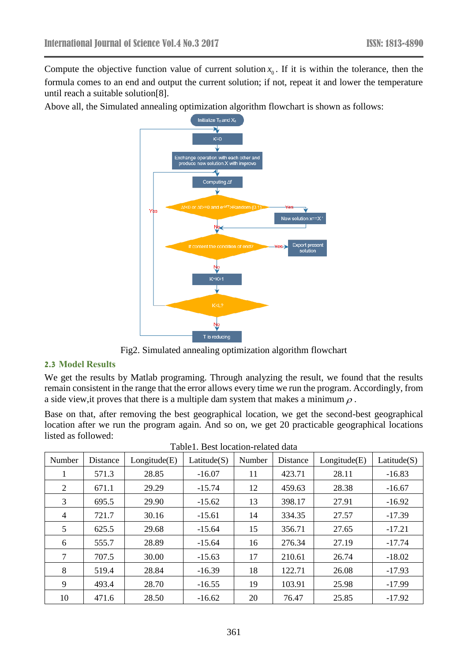Compute the objective function value of current solution  $x_0$ . If it is within the tolerance, then the formula comes to an end and output the current solution; if not, repeat it and lower the temperature until reach a suitable solution[8].

Above all, the Simulated annealing optimization algorithm flowchart is shown as follows:



Fig2. Simulated annealing optimization algorithm flowchart

# **2.3 Model Results**

We get the results by Matlab programing. Through analyzing the result, we found that the results remain consistent in the range that the error allows every time we run the program. Accordingly, from a side view, it proves that there is a multiple dam system that makes a minimum  $\rho$ .

Base on that, after removing the best geographical location, we get the second-best geographical location after we run the program again. And so on, we get 20 practicable geographical locations listed as followed:

| Number         | Distance | Longitude(E) | Lattice(S) | Number | Distance | Longitude(E) | Lattice(S) |
|----------------|----------|--------------|------------|--------|----------|--------------|------------|
|                | 571.3    | 28.85        | $-16.07$   | 11     | 423.71   | 28.11        | $-16.83$   |
| 2              | 671.1    | 29.29        | $-15.74$   | 12     | 459.63   | 28.38        | $-16.67$   |
| 3              | 695.5    | 29.90        | $-15.62$   | 13     | 398.17   | 27.91        | $-16.92$   |
| $\overline{4}$ | 721.7    | 30.16        | $-15.61$   | 14     | 334.35   | 27.57        | $-17.39$   |
| 5              | 625.5    | 29.68        | $-15.64$   | 15     | 356.71   | 27.65        | $-17.21$   |
| 6              | 555.7    | 28.89        | $-15.64$   | 16     | 276.34   | 27.19        | $-17.74$   |
| $\tau$         | 707.5    | 30.00        | $-15.63$   | 17     | 210.61   | 26.74        | $-18.02$   |
| 8              | 519.4    | 28.84        | $-16.39$   | 18     | 122.71   | 26.08        | $-17.93$   |
| 9              | 493.4    | 28.70        | $-16.55$   | 19     | 103.91   | 25.98        | $-17.99$   |
| 10             | 471.6    | 28.50        | $-16.62$   | 20     | 76.47    | 25.85        | $-17.92$   |

| Table1. Best location-related data |
|------------------------------------|
|                                    |